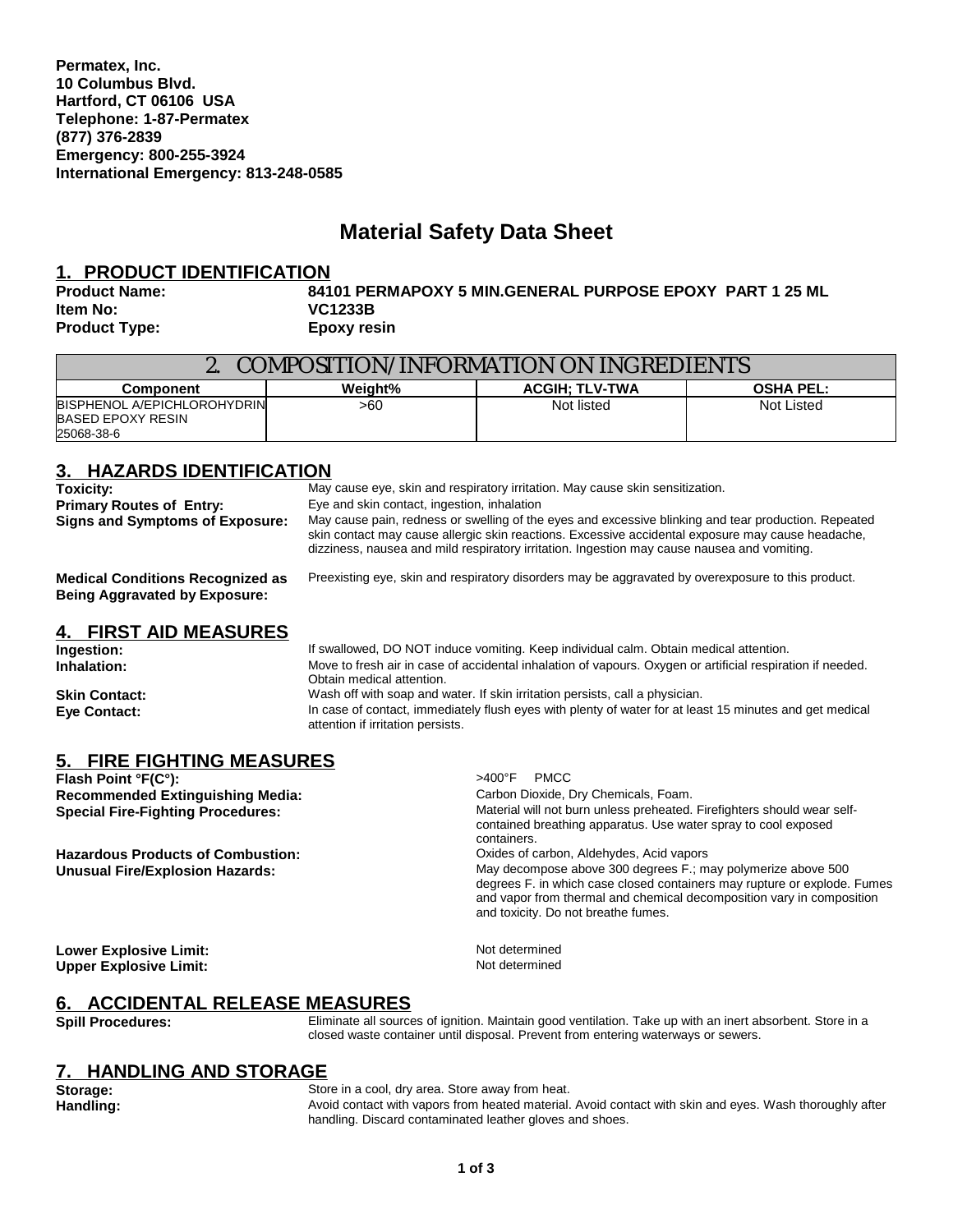**Permatex, Inc. 10 Columbus Blvd. Hartford, CT 06106 USA Telephone: 1-87-Permatex (877) 376-2839 Emergency: 800-255-3924 International Emergency: 813-248-0585**

# **Material Safety Data Sheet**

### **1. PRODUCT IDENTIFICATION**

**Item No: VC1233B Product Type: Epoxy resin**

**Product Name: 84101 PERMAPOXY 5 MIN.GENERAL PURPOSE EPOXY PART 1 25 ML**

| COMPOSITION/INFORMATION ON INGREDIENTS                                |         |                       |                  |
|-----------------------------------------------------------------------|---------|-----------------------|------------------|
| <b>Component</b>                                                      | Weiaht% | <b>ACGIH: TLV-TWA</b> | <b>OSHA PEL:</b> |
| BISPHENOL A/EPICHLOROHYDRIN<br><b>BASED EPOXY RESIN</b><br>25068-38-6 | >60     | Not listed            | Not Listed       |

# **3. HAZARDS IDENTIFICATION**

**Primary Routes of Entry:** Eye and skin contact, ingestion, inhalation

**Toxicity:** May cause eye, skin and respiratory irritation. May cause skin sensitization.

**Signs and Symptoms of Exposure:** May cause pain, redness or swelling of the eyes and excessive blinking and tear production. Repeated skin contact may cause allergic skin reactions. Excessive accidental exposure may cause headache, dizziness, nausea and mild respiratory irritation. Ingestion may cause nausea and vomiting.

**Medical Conditions Recognized as Being Aggravated by Exposure:**

Preexisting eye, skin and respiratory disorders may be aggravated by overexposure to this product.

# **4. FIRST AID MEASURES**

**Ingestion:** If swallowed, DO NOT induce vomiting. Keep individual calm. Obtain medical attention.<br> **Inhalation:** Inhalation: Move to fresh air in case of accidental inhalation of vapours. Oxygen or artificial respira **Inhalation:** Move to fresh air in case of accidental inhalation of vapours. Oxygen or artificial respiration if needed. Obtain medical attention. **Skin Contact:** Mash off with soap and water. If skin irritation persists, call a physician. **Eye Contact:** In case of contact, immediately flush eyes with plenty of water for at least 15 minutes and get medical attention if irritation persists.

# **5. FIRE FIGHTING MEASURES**

**Flash Point °F(C°):** >400°F PMCC **Recommended Extinguishing Media:<br>Special Fire-Fighting Procedures:** 

**Hazardous Products of Combustion:** Carbon, Aldehydes, Acid vapors<br> **Unusual Fire/Explosion Hazards:** Care and May decompose above 300 degrees F.; m

Material will not burn unless preheated. Firefighters should wear selfcontained breathing apparatus. Use water spray to cool exposed containers. May decompose above 300 degrees F.; may polymerize above 500 degrees F. in which case closed containers may rupture or explode. Fumes and vapor from thermal and chemical decomposition vary in composition and toxicity. Do not breathe fumes.

**Lower Explosive Limit:**<br> **Linner Explosive Limit:** Not determined **Upper Explosive Limit:** 

# **6. ACCIDENTAL RELEASE MEASURES**

Spill Procedures: **Eliminate all sources of ignition.** Maintain good ventilation. Take up with an inert absorbent. Store in a closed waste container until disposal. Prevent from entering waterways or sewers.

# **7. HANDLING AND STORAGE**

**Storage:** Store in a cool, dry area. Store away from heat.

Handling: **Handling:** Avoid contact with vapors from heated material. Avoid contact with skin and eyes. Wash thoroughly after handling. Discard contaminated leather gloves and shoes.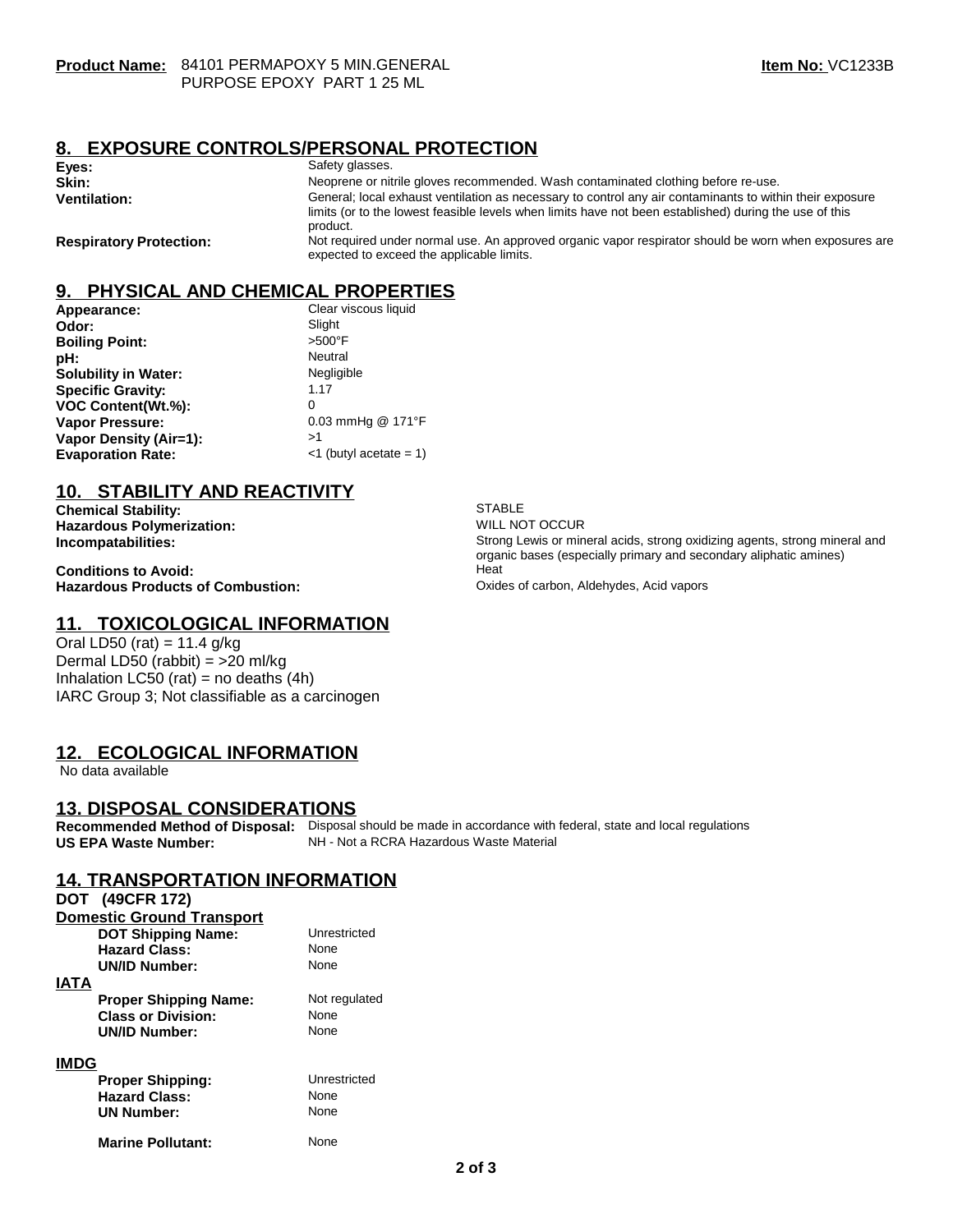# **8. EXPOSURE CONTROLS/PERSONAL PROTECTION**

| Eyes:                          | Safety glasses.                                                                                                                                                                                                                |
|--------------------------------|--------------------------------------------------------------------------------------------------------------------------------------------------------------------------------------------------------------------------------|
| Skin:                          | Neoprene or nitrile gloves recommended. Wash contaminated clothing before re-use.                                                                                                                                              |
| <b>Ventilation:</b>            | General; local exhaust ventilation as necessary to control any air contaminants to within their exposure<br>limits (or to the lowest feasible levels when limits have not been established) during the use of this<br>product. |
| <b>Respiratory Protection:</b> | Not required under normal use. An approved organic vapor respirator should be worn when exposures are<br>expected to exceed the applicable limits.                                                                             |

# **9. PHYSICAL AND CHEMICAL PROPERTIES**

| Appearance:                 | Clear viscous liquid      |
|-----------------------------|---------------------------|
| Odor:                       | Slight                    |
| <b>Boiling Point:</b>       | $>500^\circ$ F            |
| pH:                         | Neutral                   |
| <b>Solubility in Water:</b> | Negligible                |
| <b>Specific Gravity:</b>    | 1.17                      |
| VOC Content(Wt.%):          | 0                         |
| <b>Vapor Pressure:</b>      | 0.03 mmHg @ 171°F         |
| Vapor Density (Air=1):      | >1                        |
| <b>Evaporation Rate:</b>    | $<$ 1 (butyl acetate = 1) |

# **10. STABILITY AND REACTIVITY**

**Chemical Stability:** STABLE STABLE<br> **Hazardous Polymerization:** STABLE WILL NOT OCCUR **Hazardous Polymerization:**<br>Incompatabilities:

**Conditions to Avoid:**<br> **Hazardous Products of Combustion:** 
Hazardous Products of Combustion: 
Hazardous Products of Combustion: **Hazardous Products of Combustion:** 

# **11. TOXICOLOGICAL INFORMATION**

Oral LD50 (rat) =  $11.4$  g/kg Dermal LD50 (rabbit) = >20 ml/kg Inhalation LC50 (rat) = no deaths  $(4h)$ IARC Group 3; Not classifiable as a carcinogen

# **12. ECOLOGICAL INFORMATION**

No data available

#### **13. DISPOSAL CONSIDERATIONS**

**Recommended Method of Disposal:** Disposal should be made in accordance with federal, state and local regulations<br>**US EPA Waste Number:** NH - Not a RCRA Hazardous Waste Material NH - Not a RCRA Hazardous Waste Material

# **14. TRANSPORTATION INFORMATION**

|             | DOT (49CFR 172)                  |               |
|-------------|----------------------------------|---------------|
|             | <b>Domestic Ground Transport</b> |               |
|             | <b>DOT Shipping Name:</b>        | Unrestricted  |
|             | <b>Hazard Class:</b>             | None          |
|             | <b>UN/ID Number:</b>             | None          |
| IATA        |                                  |               |
|             | <b>Proper Shipping Name:</b>     | Not regulated |
|             | <b>Class or Division:</b>        | None          |
|             | <b>UN/ID Number:</b>             | None          |
| <b>IMDG</b> |                                  |               |
|             | <b>Proper Shipping:</b>          | Unrestricted  |
|             | <b>Hazard Class:</b>             | None          |
|             | <b>UN Number:</b>                | None          |
|             | <b>Marine Pollutant:</b>         | None          |

Strong Lewis or mineral acids, strong oxidizing agents, strong mineral and organic bases (especially primary and secondary aliphatic amines)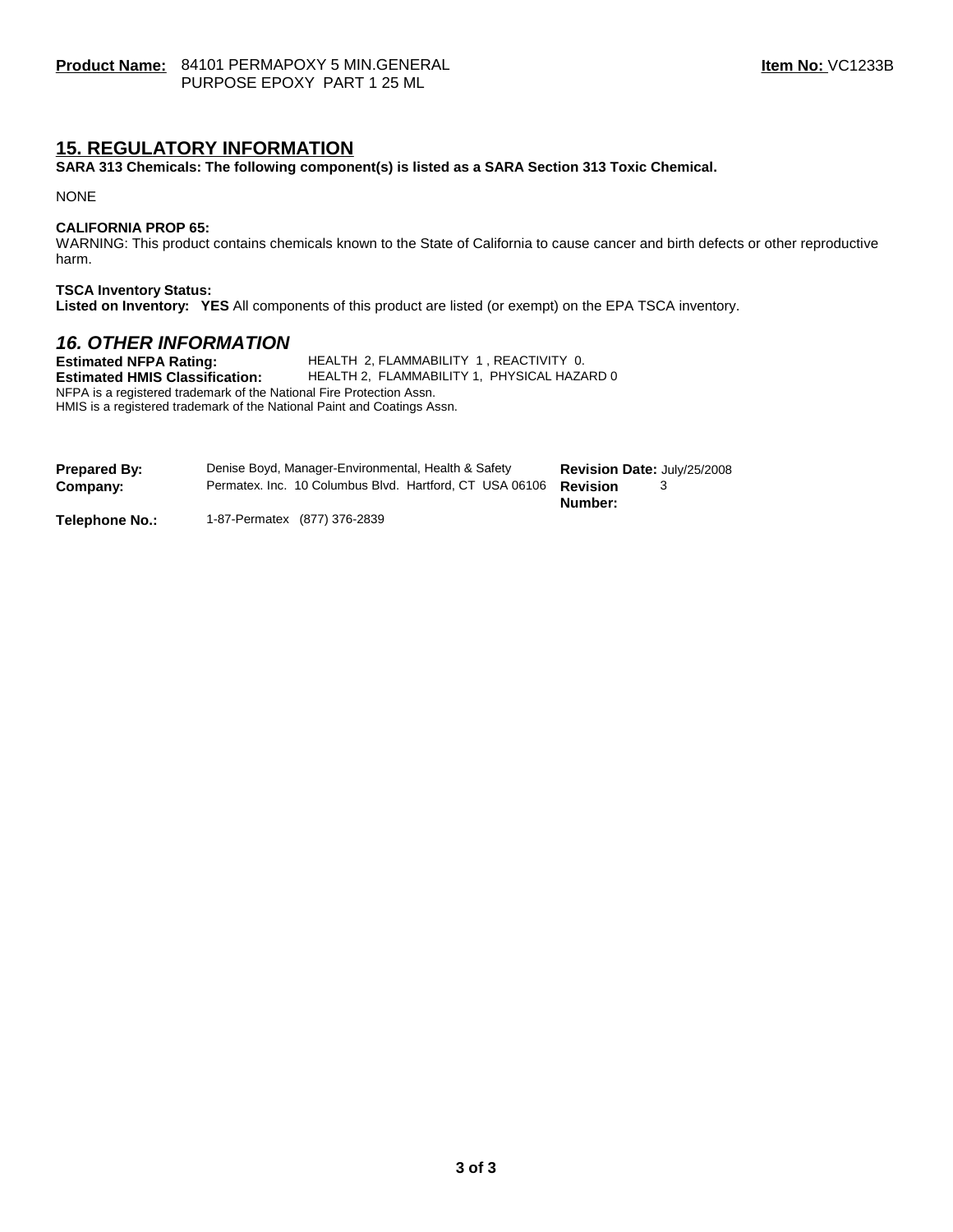# **15. REGULATORY INFORMATION**

**SARA 313 Chemicals: The following component(s) is listed as a SARA Section 313 Toxic Chemical.**

NONE

#### **CALIFORNIA PROP 65:**

WARNING: This product contains chemicals known to the State of California to cause cancer and birth defects or other reproductive harm.

#### **TSCA Inventory Status:**

**Listed on Inventory: YES** All components of this product are listed (or exempt) on the EPA TSCA inventory.

# *16. OTHER INFORMATION*

**Estimated NFPA Rating:** HEALTH 2, FLAMMABILITY 1, REACTIVITY 0.<br>**Estimated HMIS Classification:** HEALTH 2, FLAMMABILITY 1, PHYSICAL HAZA **HEALTH 2, FLAMMABILITY 1, PHYSICAL HAZARD 0** NFPA is a registered trademark of the National Fire Protection Assn. HMIS is a registered trademark of the National Paint and Coatings Assn.

| <b>Prepared By:</b> | Denise Boyd, Manager-Environmental, Health & Safety     | <b>Revision Date: July/25/2008</b> |
|---------------------|---------------------------------------------------------|------------------------------------|
| Company:            | Permatex. Inc. 10 Columbus Blvd. Hartford, CT USA 06106 | Revision                           |
|                     |                                                         | Number:                            |

**Telephone No.:** 1-87-Permatex (877) 376-2839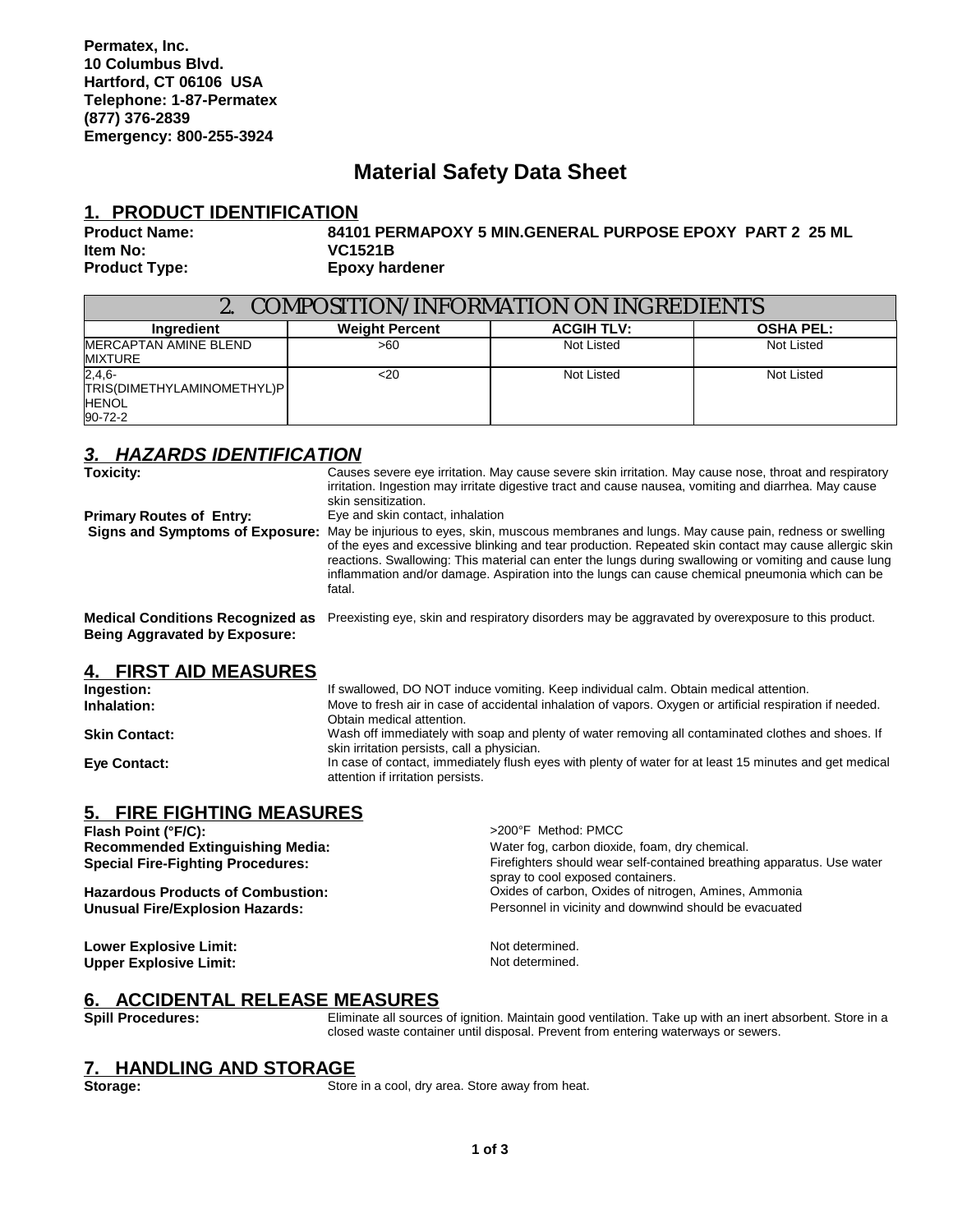# **Material Safety Data Sheet**

### **1. PRODUCT IDENTIFICATION**

#### **Product Name: 84101 PERMAPOXY 5 MIN.GENERAL PURPOSE EPOXY PART 2 25 ML Item No: VC1521B Product Type: Epoxy hardener**

| <b>COMPOSITION/INFORMATION ON INGREDIENTS</b>                     |                       |                   |                  |
|-------------------------------------------------------------------|-----------------------|-------------------|------------------|
| Ingredient                                                        | <b>Weight Percent</b> | <b>ACGIH TLV:</b> | <b>OSHA PEL:</b> |
| MERCAPTAN AMINE BLEND<br><b>MIXTURE</b>                           | >60                   | Not Listed        | Not Listed       |
| $2,4,6-$<br>TRIS(DIMETHYLAMINOMETHYL)P<br><b>HENOL</b><br>90-72-2 | $<$ 20                | Not Listed        | Not Listed       |

# *3. HAZARDS IDENTIFICATION*

| <b>Toxicity:</b>                                                                | Causes severe eye irritation. May cause severe skin irritation. May cause nose, throat and respiratory<br>irritation. Ingestion may irritate digestive tract and cause nausea, vomiting and diarrhea. May cause<br>skin sensitization.                                                                                                                                                                                          |
|---------------------------------------------------------------------------------|---------------------------------------------------------------------------------------------------------------------------------------------------------------------------------------------------------------------------------------------------------------------------------------------------------------------------------------------------------------------------------------------------------------------------------|
| <b>Primary Routes of Entry:</b>                                                 | Eye and skin contact, inhalation                                                                                                                                                                                                                                                                                                                                                                                                |
| <b>Signs and Symptoms of Exposure:</b>                                          | May be injurious to eyes, skin, muscous membranes and lungs. May cause pain, redness or swelling<br>of the eyes and excessive blinking and tear production. Repeated skin contact may cause allergic skin<br>reactions. Swallowing: This material can enter the lungs during swallowing or vomiting and cause lung<br>inflammation and/or damage. Aspiration into the lungs can cause chemical pneumonia which can be<br>fatal. |
| <b>Medical Conditions Recognized as</b><br><b>Being Aggravated by Exposure:</b> | Preexisting eye, skin and respiratory disorders may be aggravated by overexposure to this product.                                                                                                                                                                                                                                                                                                                              |
| 4. FIRST AID MEASURES                                                           |                                                                                                                                                                                                                                                                                                                                                                                                                                 |
| Ingestion:                                                                      | If swallowed, DO NOT induce vomiting. Keep individual calm. Obtain medical attention.                                                                                                                                                                                                                                                                                                                                           |
| Inhalation:                                                                     | Move to fresh air in case of accidental inhalation of vapors. Oxygen or artificial respiration if needed.                                                                                                                                                                                                                                                                                                                       |

Obtain medical attention.

attention if irritation persists.

skin irritation persists, call a physician.

**Skin Contact:** Wash off immediately with soap and plenty of water removing all contaminated clothes and shoes. If

**Eye Contact:** In case of contact, immediately flush eyes with plenty of water for at least 15 minutes and get medical

# **5. FIRE FIGHTING MEASURES**

| Flash Point (°F/C):                      | >200°F Method: PMCC                                                                                         |
|------------------------------------------|-------------------------------------------------------------------------------------------------------------|
| <b>Recommended Extinguishing Media:</b>  | Water fog, carbon dioxide, foam, dry chemical.                                                              |
| <b>Special Fire-Fighting Procedures:</b> | Firefighters should wear self-contained breathing apparatus. Use water<br>spray to cool exposed containers. |
| <b>Hazardous Products of Combustion:</b> | Oxides of carbon, Oxides of nitrogen, Amines, Ammonia                                                       |
| Unusual Fire/Explosion Hazards:          | Personnel in vicinity and downwind should be evacuated                                                      |
|                                          |                                                                                                             |

**Lower Explosive Limit:**  $\begin{array}{ccc}\n\bullet & \bullet & \bullet & \bullet \\
\bullet & \bullet & \bullet & \bullet & \bullet \\
\bullet & \bullet & \bullet & \bullet & \bullet \\
\bullet & \bullet & \bullet & \bullet & \bullet \\
\bullet & \bullet & \bullet & \bullet & \bullet \\
\bullet & \bullet & \bullet & \bullet & \bullet \\
\bullet & \bullet & \bullet & \bullet & \bullet \\
\bullet & \bullet & \bullet & \bullet & \bullet \\
\bullet & \bullet & \bullet & \bullet & \bullet \\
\bullet & \bullet & \bullet & \bullet & \bullet\n\end{array}$ **Upper Explosive Limit:** 

# **6. ACCIDENTAL RELEASE MEASURES**<br>Spill Procedures: Eliminate all sources

**Spill Procedures:** Eliminate all sources of ignition. Maintain good ventilation. Take up with an inert absorbent. Store in a closed waste container until disposal. Prevent from entering waterways or sewers.

#### **7. HANDLING AND STORAGE**

**Storage:** Store in a cool, dry area. Store away from heat.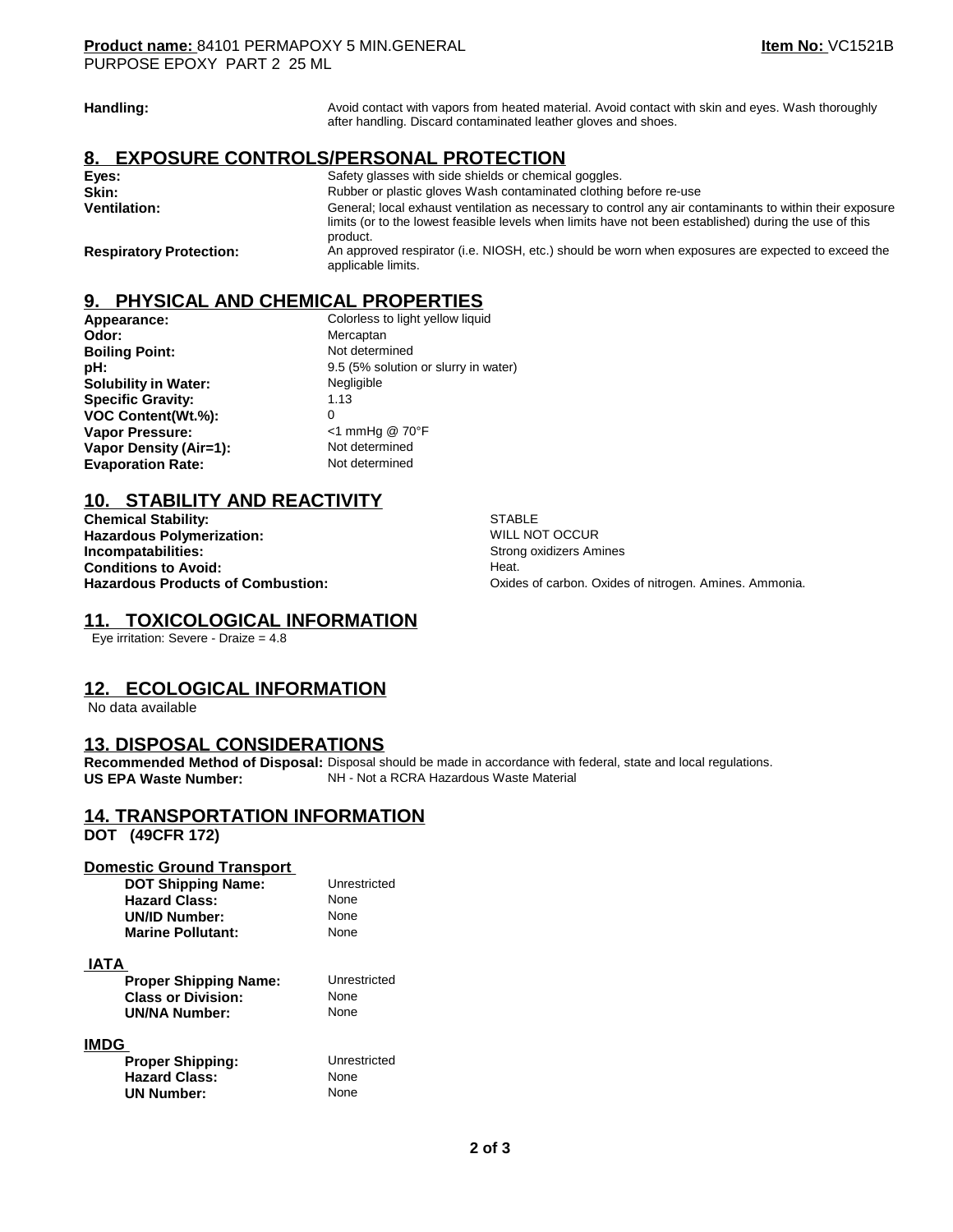| Handling:                      | Avoid contact with vapors from heated material. Avoid contact with skin and eyes. Wash thoroughly<br>after handling. Discard contaminated leather gloves and shoes.                                                            |
|--------------------------------|--------------------------------------------------------------------------------------------------------------------------------------------------------------------------------------------------------------------------------|
|                                | 8. EXPOSURE CONTROLS/PERSONAL PROTECTION                                                                                                                                                                                       |
| Eyes:                          | Safety glasses with side shields or chemical goggles.                                                                                                                                                                          |
| Skin:                          | Rubber or plastic gloves Wash contaminated clothing before re-use                                                                                                                                                              |
| <b>Ventilation:</b>            | General; local exhaust ventilation as necessary to control any air contaminants to within their exposure<br>limits (or to the lowest feasible levels when limits have not been established) during the use of this<br>product. |
| <b>Respiratory Protection:</b> | An approved respirator (i.e. NIOSH, etc.) should be worn when exposures are expected to exceed the<br>applicable limits.                                                                                                       |

### **9. PHYSICAL AND CHEMICAL PROPERTIES**

| Appearance:                 | Colorless to light yellow liquid     |
|-----------------------------|--------------------------------------|
| Odor:                       | Mercaptan                            |
| <b>Boiling Point:</b>       | Not determined                       |
| pH:                         | 9.5 (5% solution or slurry in water) |
| <b>Solubility in Water:</b> | Negligible                           |
| <b>Specific Gravity:</b>    | 1.13                                 |
| VOC Content(Wt.%):          | 0                                    |
| Vapor Pressure:             | $<$ 1 mmHg @ 70°F                    |
| Vapor Density (Air=1):      | Not determined                       |
| <b>Evaporation Rate:</b>    | Not determined                       |

# **10. STABILITY AND REACTIVITY**

**Chemical Stability:** STABLE<br> **Character Stability:** Stability: Stability: Stability: Stability: Stability: Stability: Stability: Stability: Stability: Stability: Stability: Stability: Stability: Stability: Stability: Stab **Hazardous Polymerization:**<br>Incompatabilities: **Conditions to Avoid:<br>Hazardous Products of Combustion:** 

**Strong oxidizers Amines**<br>Heat. Oxides of carbon. Oxides of nitrogen. Amines. Ammonia.

### **11. TOXICOLOGICAL INFORMATION**

Eye irritation: Severe - Draize = 4.8

# **12. ECOLOGICAL INFORMATION**

No data available

#### **13. DISPOSAL CONSIDERATIONS**

**Recommended Method of Disposal:** Disposal should be made in accordance with federal, state and local regulations.<br>**US EPA Waste Number:** NH - Not a RCRA Hazardous Waste Material **NH - Not a RCRA Hazardous Waste Material** 

# **14. TRANSPORTATION INFORMATION**

**DOT (49CFR 172)** 

#### **Domestic Ground Transport**

| <b>DOT Shipping Name:</b> | Unrestricted |
|---------------------------|--------------|
| <b>Hazard Class:</b>      | None         |
| <b>UN/ID Number:</b>      | None         |
| <b>Marine Pollutant:</b>  | None         |

 **IATA** 

| <b>Proper Shipping Name:</b> | Unrestricted |
|------------------------------|--------------|
| <b>Class or Division:</b>    | None         |
| <b>UN/NA Number:</b>         | None         |

**Unrestricted**<br>None

#### **IMDG**

| <b>Proper Shipping:</b> | Unres |
|-------------------------|-------|
| <b>Hazard Class:</b>    | None  |
| <b>UN Number:</b>       | None  |